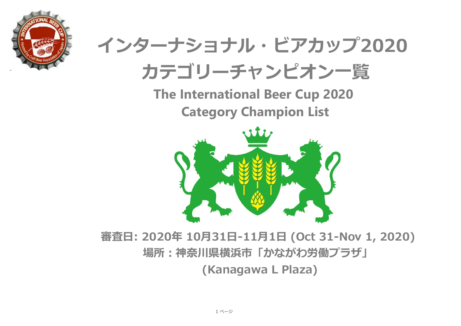

## **インターナショナル・ビアカップ2020**



**The International Beer Cup 2020 Category Champion List**



## **審査日: 2020年 10月31日-11月1日 (Oct 31-Nov 1, 2020) 場所:神奈川県横浜市「かながわ労働プラザ」 (Kanagawa L Plaza)**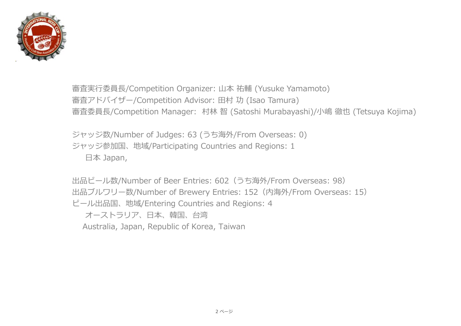

審査実行委員長/Competition Organizer: 山本 祐輔 (Yusuke Yamamoto) 審査アドバイザー/Competition Advisor: 田村 功 (Isao Tamura) 審査委員⻑/Competition Manager: 村林 智 (Satoshi Murabayashi)/小嶋 徹也 (Tetsuya Kojima)

ジャッジ数/Number of Judges: 63 (うち海外/From Overseas: 0) ジャッジ参加国、地域/Participating Countries and Regions: 1 日本 Japan,

出品ビール数/Number of Beer Entries: 602(うち海外/From Overseas: 98) 出品ブルワリー数/Number of Brewery Entries: 152(内海外/From Overseas: 15) ビール出品国、地域/Entering Countries and Regions: 4 オーストラリア、日本、韓国、台湾

Australia, Japan, Republic of Korea, Taiwan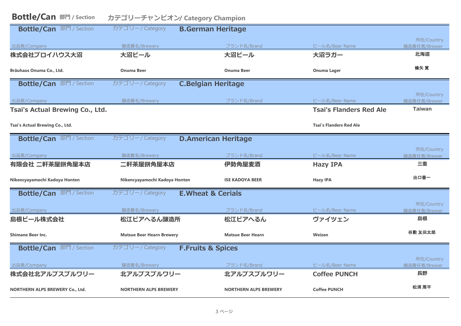| <b>Bottle/Can 部門 / Section</b><br>カテゴリーチャンピオン/ Category Champion |                                  |                              |                                |                            |
|------------------------------------------------------------------|----------------------------------|------------------------------|--------------------------------|----------------------------|
| <b>Bottle/Can 部門 / Section</b>                                   | カテゴリー/Category                   | <b>B.German Heritage</b>     |                                |                            |
| 出品者/Company                                                      | 醸造署名/Brewery                     | ブランド名/Brand                  | ビール名/Beer Name                 | 所在/Country<br>醸造責任者/Brewer |
| 株式会社ブロイハウス大沼                                                     | 大沼ビール                            | 大沼ビール                        | 大沼ラガー                          | 北海道                        |
| Bräuhaus Onuma Co., Ltd.                                         | <b>Onuma Beer</b>                | <b>Onuma Beer</b>            | <b>Onuma Lager</b>             | 蜂矢 寛                       |
| <b>Bottle/Can 部門/Section</b>                                     | カテゴリー/Category                   | <b>C.Belgian Heritage</b>    |                                |                            |
| 出品者/Company                                                      | 醸造署名/Brewery                     | ブランド名/Brand                  | ビール名/Beer Name                 | 所在/Country<br>醸造責任者/Brewer |
| Tsai's Actual Brewing Co., Ltd.                                  |                                  |                              | <b>Tsai's Flanders Red Ale</b> | <b>Taiwan</b>              |
| Tsai's Actual Brewing Co., Ltd.                                  |                                  |                              | <b>Tsai's Flanders Red Ale</b> |                            |
| <b>Bottle/Can 部門/Section</b>                                     | カテゴリー/Category                   | <b>D.American Heritage</b>   |                                |                            |
| 出品者/Company                                                      | 醸造署名/Brewery                     | ブランド名/Brand                  | ビール名/Beer Name                 | 所在/Country<br>醸造責任者/Brewer |
| 有限会社 二軒茶屋餅角屋本店                                                   | 二軒茶屋餅角屋本店                        | 伊勢角屋麦酒                       | <b>Hazy IPA</b>                | 三重                         |
| Nikencyayamochi Kadoya Honten                                    | Nikencyayamochi Kadoya Honten    | <b>ISE KADOYA BEER</b>       | <b>Hazy IPA</b>                | 出口善一                       |
| <b>Bottle/Can 部門 / Section</b>                                   | カテゴリー/Category                   | <b>E.Wheat &amp; Cerials</b> |                                |                            |
| 出品者/Company                                                      | 醸造署名/Brewery                     | ブランド名/Brand                  | ビール名/Beer Name                 | 所在/Country<br>醸造責任者/Brewer |
| 島根ビール株式会社                                                        | 松江ビアへるん醸造所                       | 松江ビアへるん                      | ヴァイツェン                         | 島根                         |
| <b>Shimane Beer Inc.</b>                                         | <b>Matsue Beer Hearn Brewery</b> | <b>Matsue Beer Hearn</b>     | Weizen                         | 谷勲 友田太郎                    |
| <b>Bottle/Can 部門 / Section</b>                                   | カテゴリー/Category                   | <b>F.Fruits &amp; Spices</b> |                                | 所在/Country                 |
| 出品者/Company                                                      | 醸造署名/Brewery                     | ブランド名/Brand                  | ビール名/Beer Name                 | 醸造責任者/Brewer               |
| 株式会社北アルプスブルワリー                                                   | 北アルプスブルワリー                       | 北アルプスブルワリー                   | <b>Coffee PUNCH</b>            | 長野                         |
| <b>NORTHERN ALPS BREWERY Co., Ltd.</b>                           | <b>NORTHERN ALPS BREWERY</b>     | <b>NORTHERN ALPS BREWERY</b> | <b>Coffee PUNCH</b>            | 松浦 周平                      |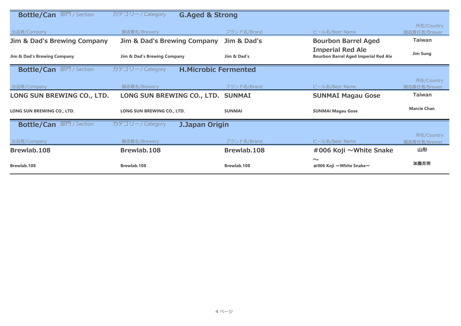| 部門 / Section<br><b>Bottle/Can</b>      | カテゴリー/Category<br><b>G.Aged &amp; Strong</b>  |               |                                                                        |                    |
|----------------------------------------|-----------------------------------------------|---------------|------------------------------------------------------------------------|--------------------|
|                                        |                                               |               |                                                                        | 所在/Country         |
| 出品者/Company                            | 醸造署名/Brewery                                  | ブランド名/Brand   | ビール名/Beer Name                                                         | 醸造責任者/Brewer       |
| <b>Jim &amp; Dad's Brewing Company</b> | <b>Jim &amp; Dad's Brewing Company</b>        | Jim & Dad's   | <b>Bourbon Barrel Aged</b>                                             | <b>Taiwan</b>      |
| Jim & Dad's Brewing Company            | Jim & Dad's Brewing Company                   | Jim & Dad's   | <b>Imperial Red Ale</b><br><b>Bourbon Barrel Aged Imperial Red Ale</b> | <b>Jim Sung</b>    |
| 部門 / Section<br><b>Bottle/Can</b>      | カテゴリー/Category<br><b>H.Microbic Fermented</b> |               |                                                                        |                    |
|                                        |                                               |               |                                                                        | 所在/Country         |
| 出品者/Company                            | 醸造署名/Brewery                                  | ブランド名/Brand   | ビール名/Beer Name                                                         | 醸造責任者/Brewer       |
| LONG SUN BREWING CO., LTD.             | LONG SUN BREWING CO., LTD. SUNMAI             |               | <b>SUNMAI Magau Gose</b>                                               | <b>Taiwan</b>      |
| LONG SUN BREWING CO., LTD.             | LONG SUN BREWING CO., LTD.                    | <b>SUNMAI</b> | <b>SUNMAI Magau Gose</b>                                               | <b>Marcie Chan</b> |
| 部門 / Section<br><b>Bottle/Can</b>      | カテゴリー/Category<br><b>J.Japan Origin</b>       |               |                                                                        |                    |
|                                        |                                               |               |                                                                        | 所在/Country         |
| 出品者/Company                            | 醸造署名/Brewery                                  | ブランド名/Brand   | ビール名/Beer Name                                                         | 醸造責任者/Brewer       |
| Brewlab.108                            | Brewlab.108                                   | Brewlab.108   | #006 Koji ~White Snake                                                 | 山形                 |
| Brewlab.108                            | Brewlab.108                                   | Brewlab.108   | $\sim$<br>#006 Koji ~White Snake~                                      | 加藤克明               |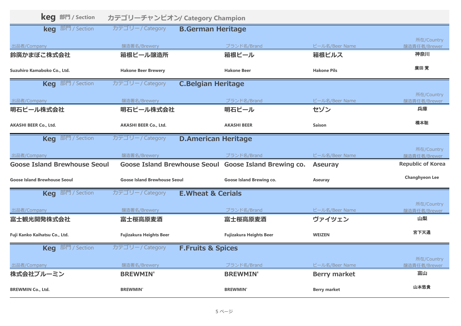| <b>keq</b> 部門 / Section             |                                     | カテゴリーチャンピオン/ Category Champion                        |                     |                            |
|-------------------------------------|-------------------------------------|-------------------------------------------------------|---------------------|----------------------------|
| <b>keg</b> 部門 / Section             | カテゴリー/Category                      | <b>B.German Heritage</b>                              |                     |                            |
| 出品者/Company                         | 醸造署名/Brewery                        | ブランド名/Brand                                           | ビール名/Beer Name      | 所在/Country<br>醸造責任者/Brewer |
| 鈴廣かまぼこ株式会社                          | 箱根ビール醸造所                            | 箱根ビール                                                 | 箱根ピルス               | 神奈川                        |
| Suzuhiro Kamaboko Co., Ltd.         | <b>Hakone Beer Brewery</b>          | <b>Hakone Beer</b>                                    | <b>Hakone Pils</b>  | 廣田覚                        |
| <b>Keq</b> 部門 / Section             | カテゴリー/Category                      | <b>C.Belgian Heritage</b>                             |                     |                            |
| 出品者/Company                         | 醸造署名/Brewery                        | ブランド名/Brand                                           | ビール名/Beer Name      | 所在/Country<br>醸造責任者/Brewer |
| 明石ビール株式会社                           | 明石ビール株式会社                           | 明石ビール                                                 | セゾン                 | 兵庫                         |
| <b>AKASHI BEER Co., Ltd.</b>        | <b>AKASHI BEER Co., Ltd.</b>        | <b>AKASHI BEER</b>                                    | <b>Saison</b>       | 橋本聡                        |
| <b>Keg</b> 部門 / Section             | カテゴリー/Category                      | <b>D.American Heritage</b>                            |                     |                            |
| 出品者/Company                         | 醸造署名/Brewery                        | ブランド名/Brand                                           | ビール名/Beer Name      | 所在/Country<br>醸造責任者/Brewer |
| <b>Goose Island Brewhouse Seoul</b> |                                     | Goose Island Brewhouse Seoul Goose Island Brewing co. | <b>Aseuray</b>      | <b>Republic of Korea</b>   |
| <b>Goose Island Brewhouse Seoul</b> | <b>Goose Island Brewhouse Seoul</b> | <b>Goose Island Brewing co.</b>                       | <b>Aseuray</b>      | <b>Changhyeon Lee</b>      |
| <b>Keg</b> 部門 / Section             | カテゴリー/Category                      | <b>E.Wheat &amp; Cerials</b>                          |                     |                            |
| 出品者/Company                         | 醸造署名/Brewery                        | ブランド名/Brand                                           | ビール名/Beer Name      | 所在/Country<br>醸造責任者/Brewer |
| 富士観光開発株式会社                          | 富士桜高原麦酒                             | 富士桜高原麦酒                                               | ヴァイツェン              | 山梨                         |
| Fuji Kanko Kaihatsu Co., Ltd.       | <b>Fujizakura Heights Beer</b>      | <b>Fujizakura Heights Beer</b>                        | <b>WEIZEN</b>       | 宮下天通                       |
| <b>Keg</b> 部門 / Section             | カテゴリー/Category                      | <b>F.Fruits &amp; Spices</b>                          |                     |                            |
| 出品者/Company                         | 醸造署名/Brewery                        | ブランド名/Brand                                           | ビール名/Beer Name      | 所在/Country<br>醸造責任者/Brewer |
| 株式会社ブルーミン                           | <b>BREWMIN'</b>                     | <b>BREWMIN'</b>                                       | <b>Berry market</b> | 富山                         |
| <b>BREWMIN Co., Ltd.</b>            | <b>BREWMIN'</b>                     | <b>BREWMIN'</b>                                       | <b>Berry market</b> | 山本悠貴                       |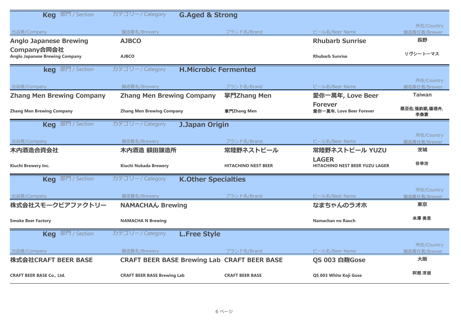| <b>Keg</b> 部門 / Section                                                 | カテゴリー/Category<br><b>G.Aged &amp; Strong</b>       |                            |                                                       |                            |
|-------------------------------------------------------------------------|----------------------------------------------------|----------------------------|-------------------------------------------------------|----------------------------|
|                                                                         |                                                    |                            |                                                       | 所在/Country                 |
| 出品者/Company                                                             | 醸造署名/Brewery<br><b>AJBCO</b>                       | ブランド名/Brand                | ビール名/Beer Name<br><b>Rhubarb Sunrise</b>              | 醸造責任者/Brewer<br>長野         |
| <b>Anglo Japanese Brewing</b><br>Company合同会社                            |                                                    |                            |                                                       |                            |
| <b>Anglo Japanese Brewing Company</b>                                   | <b>AJBCO</b>                                       |                            | <b>Rhubarb Sunrise</b>                                | リヴシートーマス                   |
| <b>keg</b> 部門 / Section                                                 | カテゴリー/Category<br><b>H.Microbic Fermented</b>      |                            |                                                       |                            |
|                                                                         |                                                    |                            |                                                       | 所在/Country                 |
| 出品者/Company                                                             | 醸造署名/Brewery                                       | ブランド名/Brand                | ビール名/Beer Name                                        | 醸造責任者/Brewer               |
| <b>Zhang Men Brewing Company</b>                                        | <b>Zhang Men Brewing Company</b>                   | 掌門Zhang Men                | 愛你一萬年, Love Beer                                      | <b>Taiwan</b>              |
| <b>Zhang Men Brewing Company</b>                                        | <b>Zhang Men Brewing Company</b>                   | 掌門Zhang Men                | <b>Forever</b><br>愛你一萬年, Love Beer Forever            | 蔡亞佑,張鈞凱,楊琇卉,<br>李泰寰        |
| <b>Keg</b> 部門 / Section                                                 | カテゴリー/Category<br><b>J.Japan Origin</b>            |                            |                                                       |                            |
|                                                                         |                                                    |                            |                                                       | 所在/Country                 |
| 出品者/Company                                                             | 醸造署名/Brewery                                       | ブランド名/Brand                | ビール名/Beer Name                                        | 醸造責任者/Brewer               |
| 木内酒造合資会社                                                                | 木内酒造 額田醸造所                                         | 常陸野ネストビール                  | 常陸野ネストビール YUZU                                        | 茨城                         |
| Kiuchi Brewery Inc.                                                     | <b>Kiuchi Nukada Brewery</b>                       | <b>HITACHINO NEST BEER</b> | <b>LAGER</b><br><b>HITACHINO NEST BEER YUZU LAGER</b> | 谷幸治                        |
| <b>Keq</b> 部門 / Section<br>カテゴリー/Category<br><b>K.Other Specialties</b> |                                                    |                            |                                                       |                            |
|                                                                         |                                                    |                            |                                                       | 所在/Country                 |
| 出品者/Company                                                             | 醸造署名/Brewery                                       | ブランド名/Brand                | ビール名/Beer Name                                        | 醸造責任者/Brewer               |
| 株式会社スモークビアファクトリー                                                        | <b>NAMACHAW Brewing</b>                            |                            | なまちゃんのラオホ                                             | 東京                         |
| <b>Smoke Beer Factory</b>                                               | <b>NAMACHA N Brewing</b>                           |                            | Namachan no Rauch                                     | 米澤 美里                      |
| <b>Keq</b> 部門 / Section                                                 | カテゴリー/Category<br><b>L.Free Style</b>              |                            |                                                       |                            |
| 出品者/Company                                                             | 醸造署名/Brewery                                       | ブランド名/Brand                | ビール名/Beer Name                                        | 所在/Country<br>醸造責任者/Brewer |
| 株式会社CRAFT BEER BASE                                                     | <b>CRAFT BEER BASE Brewing Lab CRAFT BEER BASE</b> |                            | QS 003 白麹Gose                                         | 大阪                         |
| <b>CRAFT BEER BASE Co., Ltd.</b>                                        | <b>CRAFT BEER BASE Brewing Lab</b>                 | <b>CRAFT BEER BASE</b>     | QS 003 White Koji Gose                                | 阿部 淳哉                      |